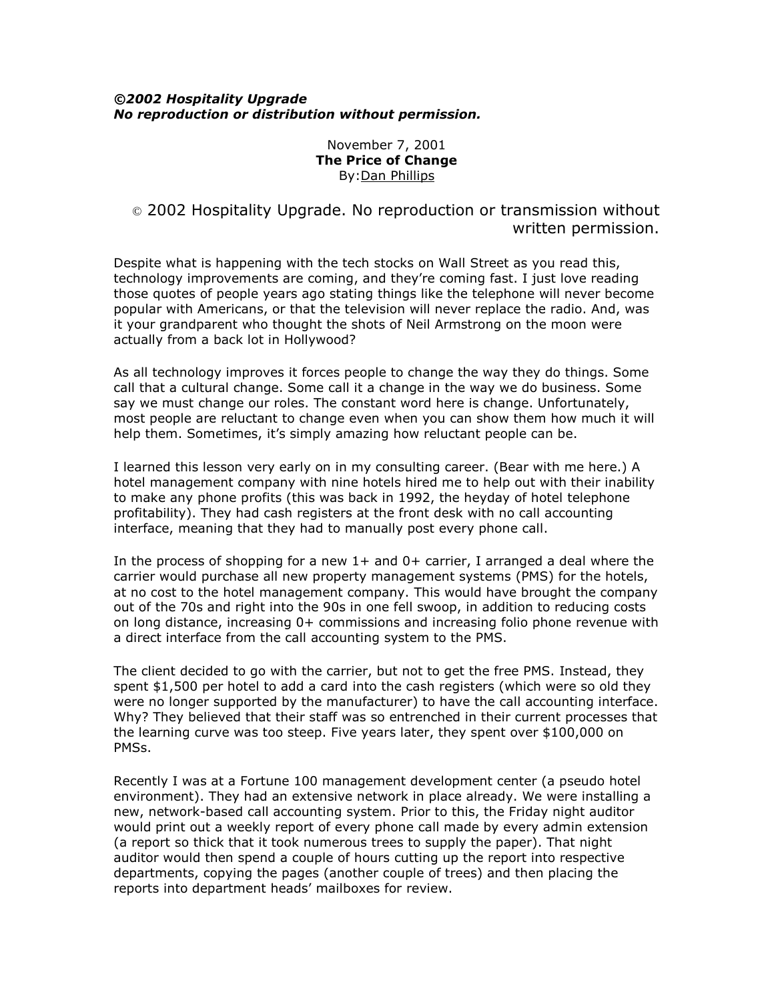## *©2002 Hospitality Upgrade No reproduction or distribution without permission.*

## November 7, 2001 **The Price of Change** By:Dan Phillips

## © 2002 Hospitality Upgrade. No reproduction or transmission without written permission.

Despite what is happening with the tech stocks on Wall Street as you read this, technology improvements are coming, and they're coming fast. I just love reading those quotes of people years ago stating things like the telephone will never become popular with Americans, or that the television will never replace the radio. And, was it your grandparent who thought the shots of Neil Armstrong on the moon were actually from a back lot in Hollywood?

As all technology improves it forces people to change the way they do things. Some call that a cultural change. Some call it a change in the way we do business. Some say we must change our roles. The constant word here is change. Unfortunately, most people are reluctant to change even when you can show them how much it will help them. Sometimes, it's simply amazing how reluctant people can be.

I learned this lesson very early on in my consulting career. (Bear with me here.) A hotel management company with nine hotels hired me to help out with their inability to make any phone profits (this was back in 1992, the heyday of hotel telephone profitability). They had cash registers at the front desk with no call accounting interface, meaning that they had to manually post every phone call.

In the process of shopping for a new  $1+$  and  $0+$  carrier, I arranged a deal where the carrier would purchase all new property management systems (PMS) for the hotels, at no cost to the hotel management company. This would have brought the company out of the 70s and right into the 90s in one fell swoop, in addition to reducing costs on long distance, increasing 0+ commissions and increasing folio phone revenue with a direct interface from the call accounting system to the PMS.

The client decided to go with the carrier, but not to get the free PMS. Instead, they spent \$1,500 per hotel to add a card into the cash registers (which were so old they were no longer supported by the manufacturer) to have the call accounting interface. Why? They believed that their staff was so entrenched in their current processes that the learning curve was too steep. Five years later, they spent over \$100,000 on PMSs.

Recently I was at a Fortune 100 management development center (a pseudo hotel environment). They had an extensive network in place already. We were installing a new, network-based call accounting system. Prior to this, the Friday night auditor would print out a weekly report of every phone call made by every admin extension (a report so thick that it took numerous trees to supply the paper). That night auditor would then spend a couple of hours cutting up the report into respective departments, copying the pages (another couple of trees) and then placing the reports into department heads' mailboxes for review.